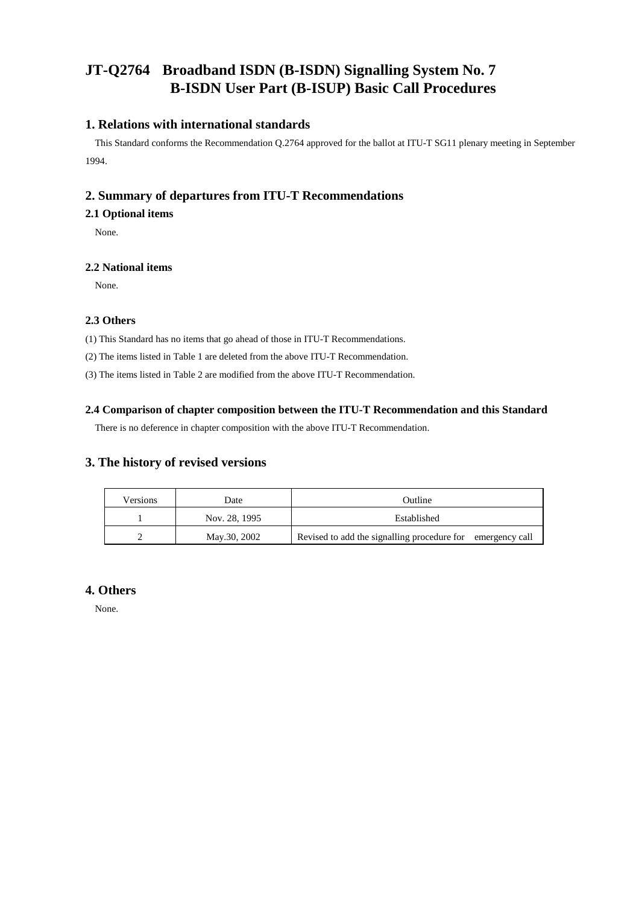# **JT-Q2764 Broadband ISDN (B-ISDN) Signalling System No. 7 B-ISDN User Part (B-ISUP) Basic Call Procedures**

## **1. Relations with international standards**

This Standard conforms the Recommendation Q.2764 approved for the ballot at ITU-T SG11 plenary meeting in September 1994.

## **2. Summary of departures from ITU-T Recommendations**

### **2.1 Optional items**

None.

#### **2.2 National items**

None.

#### **2.3 Others**

(1) This Standard has no items that go ahead of those in ITU-T Recommendations.

(2) The items listed in Table 1 are deleted from the above ITU-T Recommendation.

(3) The items listed in Table 2 are modified from the above ITU-T Recommendation.

#### **2.4 Comparison of chapter composition between the ITU-T Recommendation and this Standard**

There is no deference in chapter composition with the above ITU-T Recommendation.

## **3. The history of revised versions**

| Versions | Date          | Outline                                                    |
|----------|---------------|------------------------------------------------------------|
|          | Nov. 28, 1995 | Established                                                |
|          | May.30, 2002  | Revised to add the signalling procedure for emergency call |

## **4. Others**

None.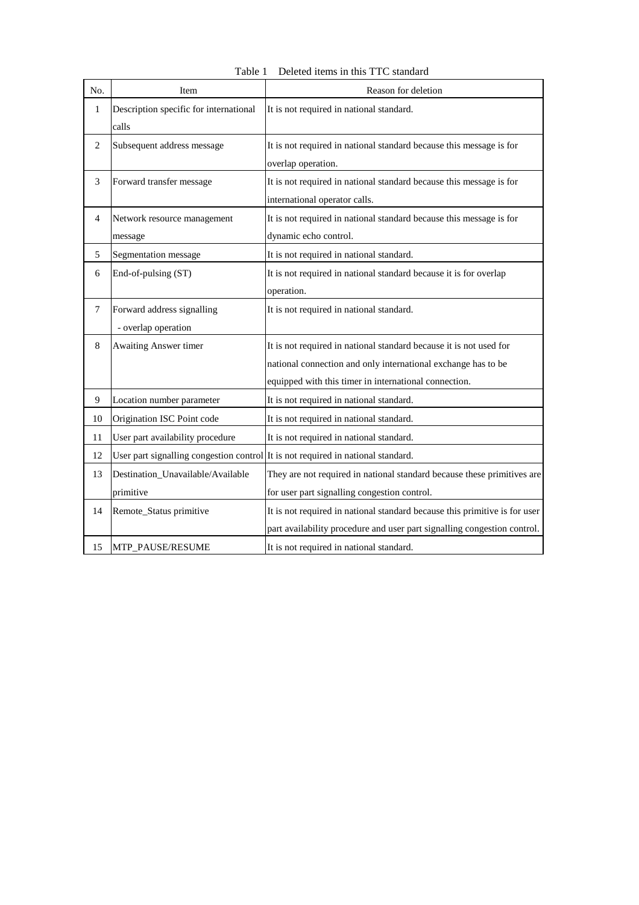| No.            | Item                                                                             | Reason for deletion                                                                                                                                                                          |
|----------------|----------------------------------------------------------------------------------|----------------------------------------------------------------------------------------------------------------------------------------------------------------------------------------------|
| 1              | Description specific for international<br>calls                                  | It is not required in national standard.                                                                                                                                                     |
| $\overline{2}$ | Subsequent address message                                                       | It is not required in national standard because this message is for<br>overlap operation.                                                                                                    |
| 3              | Forward transfer message                                                         | It is not required in national standard because this message is for<br>international operator calls.                                                                                         |
| $\overline{4}$ | Network resource management<br>message                                           | It is not required in national standard because this message is for<br>dynamic echo control.                                                                                                 |
| 5              | Segmentation message                                                             | It is not required in national standard.                                                                                                                                                     |
| 6              | End-of-pulsing (ST)                                                              | It is not required in national standard because it is for overlap<br>operation.                                                                                                              |
| $\overline{7}$ | Forward address signalling<br>- overlap operation                                | It is not required in national standard.                                                                                                                                                     |
| 8              | Awaiting Answer timer                                                            | It is not required in national standard because it is not used for<br>national connection and only international exchange has to be<br>equipped with this timer in international connection. |
| 9              | Location number parameter                                                        | It is not required in national standard.                                                                                                                                                     |
| 10             | Origination ISC Point code                                                       | It is not required in national standard.                                                                                                                                                     |
| 11             | User part availability procedure                                                 | It is not required in national standard.                                                                                                                                                     |
| 12             | User part signalling congestion control It is not required in national standard. |                                                                                                                                                                                              |
| 13             | Destination_Unavailable/Available<br>primitive                                   | They are not required in national standard because these primitives are<br>for user part signalling congestion control.                                                                      |
| 14             | Remote_Status primitive                                                          | It is not required in national standard because this primitive is for user<br>part availability procedure and user part signalling congestion control.                                       |
| 15             | <b>MTP PAUSE/RESUME</b>                                                          | It is not required in national standard.                                                                                                                                                     |

Table 1 Deleted items in this TTC standard